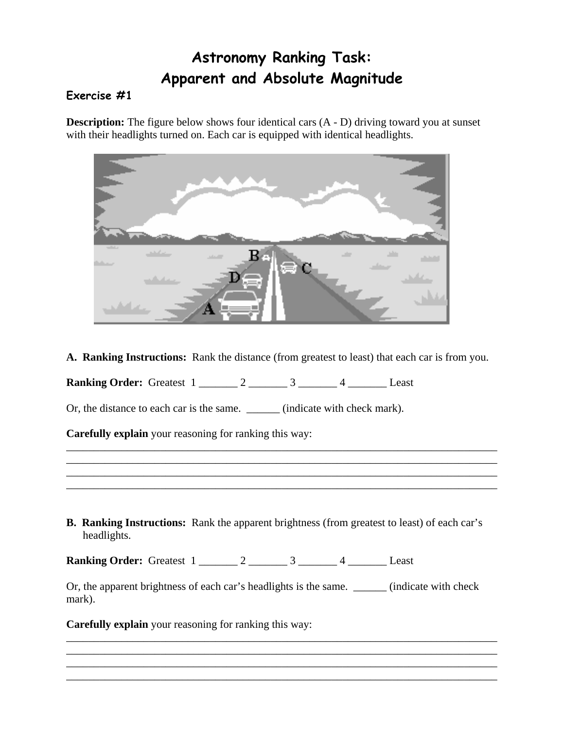## **Astronomy Ranking Task: Apparent and Absolute Magnitude**

## **Exercise #1**

**Description:** The figure below shows four identical cars  $(A - D)$  driving toward you at sunset with their headlights turned on. Each car is equipped with identical headlights.



**A. Ranking Instructions:** Rank the distance (from greatest to least) that each car is from you.

\_\_\_\_\_\_\_\_\_\_\_\_\_\_\_\_\_\_\_\_\_\_\_\_\_\_\_\_\_\_\_\_\_\_\_\_\_\_\_\_\_\_\_\_\_\_\_\_\_\_\_\_\_\_\_\_\_\_\_\_\_\_\_\_\_\_\_\_\_\_\_\_\_\_\_\_\_\_ \_\_\_\_\_\_\_\_\_\_\_\_\_\_\_\_\_\_\_\_\_\_\_\_\_\_\_\_\_\_\_\_\_\_\_\_\_\_\_\_\_\_\_\_\_\_\_\_\_\_\_\_\_\_\_\_\_\_\_\_\_\_\_\_\_\_\_\_\_\_\_\_\_\_\_\_\_\_ \_\_\_\_\_\_\_\_\_\_\_\_\_\_\_\_\_\_\_\_\_\_\_\_\_\_\_\_\_\_\_\_\_\_\_\_\_\_\_\_\_\_\_\_\_\_\_\_\_\_\_\_\_\_\_\_\_\_\_\_\_\_\_\_\_\_\_\_\_\_\_\_\_\_\_\_\_\_ \_\_\_\_\_\_\_\_\_\_\_\_\_\_\_\_\_\_\_\_\_\_\_\_\_\_\_\_\_\_\_\_\_\_\_\_\_\_\_\_\_\_\_\_\_\_\_\_\_\_\_\_\_\_\_\_\_\_\_\_\_\_\_\_\_\_\_\_\_\_\_\_\_\_\_\_\_\_

**Ranking Order:** Greatest 1 \_\_\_\_\_\_\_ 2 \_\_\_\_\_\_\_ 3 \_\_\_\_\_\_ 4 \_\_\_\_\_\_\_ Least

Or, the distance to each car is the same. \_\_\_\_\_\_ (indicate with check mark).

**Carefully explain** your reasoning for ranking this way:

**B. Ranking Instructions:** Rank the apparent brightness (from greatest to least) of each car's headlights.

**Ranking Order:** Greatest 1 \_\_\_\_\_\_\_ 2 \_\_\_\_\_\_\_ 3 \_\_\_\_\_\_ 4 \_\_\_\_\_\_\_ Least

Or, the apparent brightness of each car's headlights is the same. \_\_\_\_\_\_\_ (indicate with check mark).

\_\_\_\_\_\_\_\_\_\_\_\_\_\_\_\_\_\_\_\_\_\_\_\_\_\_\_\_\_\_\_\_\_\_\_\_\_\_\_\_\_\_\_\_\_\_\_\_\_\_\_\_\_\_\_\_\_\_\_\_\_\_\_\_\_\_\_\_\_\_\_\_\_\_\_\_\_\_ \_\_\_\_\_\_\_\_\_\_\_\_\_\_\_\_\_\_\_\_\_\_\_\_\_\_\_\_\_\_\_\_\_\_\_\_\_\_\_\_\_\_\_\_\_\_\_\_\_\_\_\_\_\_\_\_\_\_\_\_\_\_\_\_\_\_\_\_\_\_\_\_\_\_\_\_\_\_ \_\_\_\_\_\_\_\_\_\_\_\_\_\_\_\_\_\_\_\_\_\_\_\_\_\_\_\_\_\_\_\_\_\_\_\_\_\_\_\_\_\_\_\_\_\_\_\_\_\_\_\_\_\_\_\_\_\_\_\_\_\_\_\_\_\_\_\_\_\_\_\_\_\_\_\_\_\_ \_\_\_\_\_\_\_\_\_\_\_\_\_\_\_\_\_\_\_\_\_\_\_\_\_\_\_\_\_\_\_\_\_\_\_\_\_\_\_\_\_\_\_\_\_\_\_\_\_\_\_\_\_\_\_\_\_\_\_\_\_\_\_\_\_\_\_\_\_\_\_\_\_\_\_\_\_\_

**Carefully explain** your reasoning for ranking this way: